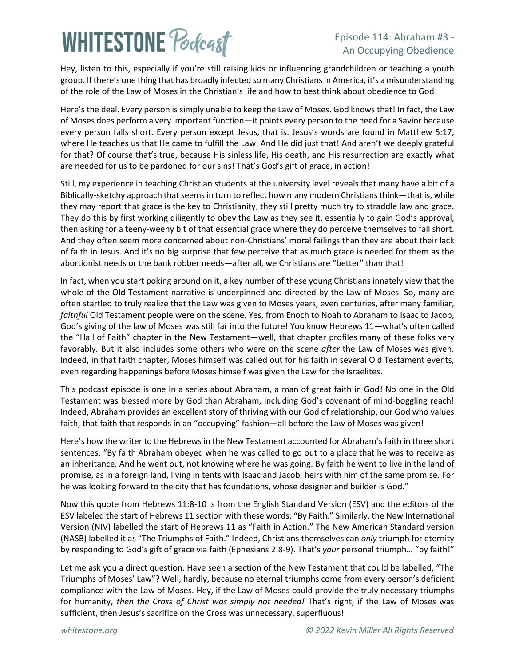# **WHITESTONE Podcast**

#### Episode 114: Abraham #3 - An Occupying Obedience

Hey, listen to this, especially if you're still raising kids or influencing grandchildren or teaching a youth group. If there's one thing that has broadly infected so many Christians in America, it's a misunderstanding of the role of the Law of Moses in the Christian's life and how to best think about obedience to God!

Here's the deal. Every person is simply unable to keep the Law of Moses. God knows that! In fact, the Law of Moses does perform a very important function—it points every person to the need for a Savior because every person falls short. Every person except Jesus, that is. Jesus's words are found in Matthew 5:17, where He teaches us that He came to fulfill the Law. And He did just that! And aren't we deeply grateful for that? Of course that's true, because His sinless life, His death, and His resurrection are exactly what are needed for us to be pardoned for our sins! That's God's gift of grace, in action!

Still, my experience in teaching Christian students at the university level reveals that many have a bit of a Biblically-sketchy approach that seems in turn to reflect how many modern Christians think—that is, while they may report that grace is the key to Christianity, they still pretty much try to straddle law and grace. They do this by first working diligently to obey the Law as they see it, essentially to gain God's approval, then asking for a teeny-weeny bit of that essential grace where they do perceive themselves to fall short. And they often seem more concerned about non-Christians' moral failings than they are about their lack of faith in Jesus. And it's no big surprise that few perceive that as much grace is needed for them as the abortionist needs or the bank robber needs—after all, we Christians are "better" than that!

In fact, when you start poking around on it, a key number of these young Christians innately view that the whole of the Old Testament narrative is underpinned and directed by the Law of Moses. So, many are often startled to truly realize that the Law was given to Moses years, even centuries, after many familiar, *faithful* Old Testament people were on the scene. Yes, from Enoch to Noah to Abraham to Isaac to Jacob, God's giving of the law of Moses was still far into the future! You know Hebrews 11—what's often called the "Hall of Faith" chapter in the New Testament—well, that chapter profiles many of these folks very favorably. But it also includes some others who were on the scene *after* the Law of Moses was given. Indeed, in that faith chapter, Moses himself was called out for his faith in several Old Testament events, even regarding happenings before Moses himself was given the Law for the Israelites.

This podcast episode is one in a series about Abraham, a man of great faith in God! No one in the Old Testament was blessed more by God than Abraham, including God's covenant of mind-boggling reach! Indeed, Abraham provides an excellent story of thriving with our God of relationship, our God who values faith, that faith that responds in an "occupying" fashion—all before the Law of Moses was given!

Here's how the writer to the Hebrews in the New Testament accounted for Abraham's faith in three short sentences. "By faith Abraham obeyed when he was called to go out to a place that he was to receive as an inheritance. And he went out, not knowing where he was going. By faith he went to live in the land of promise, as in a foreign land, living in tents with Isaac and Jacob, heirs with him of the same promise. For he was looking forward to the city that has foundations, whose designer and builder is God."

Now this quote from Hebrews 11:8-10 is from the English Standard Version (ESV) and the editors of the ESV labeled the start of Hebrews 11 section with these words: "By Faith." Similarly, the New International Version (NIV) labelled the start of Hebrews 11 as "Faith in Action." The New American Standard version (NASB) labelled it as "The Triumphs of Faith." Indeed, Christians themselves can *only* triumph for eternity by responding to God's gift of grace via faith (Ephesians 2:8-9). That's *your* personal triumph… "by faith!"

Let me ask you a direct question. Have seen a section of the New Testament that could be labelled, "The Triumphs of Moses' Law"? Well, hardly, because no eternal triumphs come from every person's deficient compliance with the Law of Moses. Hey, if the Law of Moses could provide the truly necessary triumphs for humanity, *then the Cross of Christ was simply not needed!* That's right, if the Law of Moses was sufficient, then Jesus's sacrifice on the Cross was unnecessary, superfluous!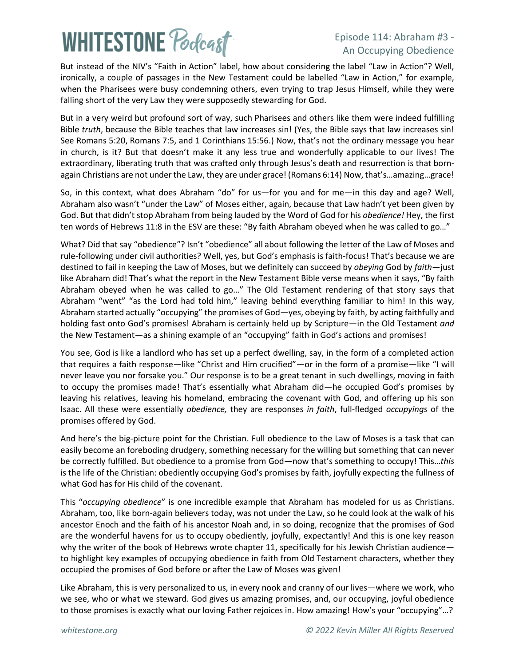# **WHITESTONE Poclast**

#### Episode 114: Abraham #3 - An Occupying Obedience

But instead of the NIV's "Faith in Action" label, how about considering the label "Law in Action"? Well, ironically, a couple of passages in the New Testament could be labelled "Law in Action," for example, when the Pharisees were busy condemning others, even trying to trap Jesus Himself, while they were falling short of the very Law they were supposedly stewarding for God.

But in a very weird but profound sort of way, such Pharisees and others like them were indeed fulfilling Bible *truth*, because the Bible teaches that law increases sin! (Yes, the Bible says that law increases sin! See Romans 5:20, Romans 7:5, and 1 Corinthians 15:56.) Now, that's not the ordinary message you hear in church, is it? But that doesn't make it any less true and wonderfully applicable to our lives! The extraordinary, liberating truth that was crafted only through Jesus's death and resurrection is that bornagain Christians are not under the Law, they are under grace! (Romans 6:14) Now, that's…amazing…grace!

So, in this context, what does Abraham "do" for us—for you and for me—in this day and age? Well, Abraham also wasn't "under the Law" of Moses either, again, because that Law hadn't yet been given by God. But that didn't stop Abraham from being lauded by the Word of God for his *obedience!* Hey, the first ten words of Hebrews 11:8 in the ESV are these: "By faith Abraham obeyed when he was called to go…"

What? Did that say "obedience"? Isn't "obedience" all about following the letter of the Law of Moses and rule-following under civil authorities? Well, yes, but God's emphasis is faith-focus! That's because we are destined to fail in keeping the Law of Moses, but we definitely can succeed by *obeying* God by *faith*—just like Abraham did! That's what the report in the New Testament Bible verse means when it says, "By faith Abraham obeyed when he was called to go…" The Old Testament rendering of that story says that Abraham "went" "as the Lord had told him," leaving behind everything familiar to him! In this way, Abraham started actually "occupying" the promises of God—yes, obeying by faith, by acting faithfully and holding fast onto God's promises! Abraham is certainly held up by Scripture—in the Old Testament *and* the New Testament—as a shining example of an "occupying" faith in God's actions and promises!

You see, God is like a landlord who has set up a perfect dwelling, say, in the form of a completed action that requires a faith response—like "Christ and Him crucified"—or in the form of a promise—like "I will never leave you nor forsake you." Our response is to be a great tenant in such dwellings, moving in faith to occupy the promises made! That's essentially what Abraham did—he occupied God's promises by leaving his relatives, leaving his homeland, embracing the covenant with God, and offering up his son Isaac. All these were essentially *obedience,* they are responses *in faith*, full-fledged *occupyings* of the promises offered by God.

And here's the big-picture point for the Christian. Full obedience to the Law of Moses is a task that can easily become an foreboding drudgery, something necessary for the willing but something that can never be correctly fulfilled. But obedience to a promise from God—now that's something to occupy! This…*this* is the life of the Christian: obediently occupying God's promises by faith, joyfully expecting the fullness of what God has for His child of the covenant.

This "*occupying obedience*" is one incredible example that Abraham has modeled for us as Christians. Abraham, too, like born-again believers today, was not under the Law, so he could look at the walk of his ancestor Enoch and the faith of his ancestor Noah and, in so doing, recognize that the promises of God are the wonderful havens for us to occupy obediently, joyfully, expectantly! And this is one key reason why the writer of the book of Hebrews wrote chapter 11, specifically for his Jewish Christian audienceto highlight key examples of occupying obedience in faith from Old Testament characters, whether they occupied the promises of God before or after the Law of Moses was given!

Like Abraham, this is very personalized to us, in every nook and cranny of our lives—where we work, who we see, who or what we steward. God gives us amazing promises, and, our occupying, joyful obedience to those promises is exactly what our loving Father rejoices in. How amazing! How's your "occupying"…?